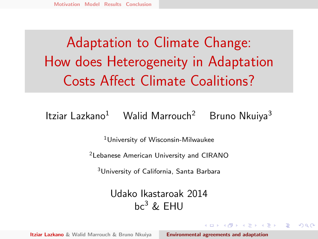# <span id="page-0-0"></span>Adaptation to Climate Change: How does Heterogeneity in Adaptation Costs Affect Climate Coalitions?

#### Itziar Lazkano<sup>1</sup> Walid Marrouch<sup>2</sup> Bruno Nkuiya<sup>3</sup>

<sup>1</sup>University of Wisconsin-Milwaukee

<sup>2</sup>Lebanese American University and CIRANO

<sup>3</sup>University of California, Santa Barbara

Udako Ikastaroak 2014  $hc^3$  & FHU

イロメ イタメ イチメ イチメー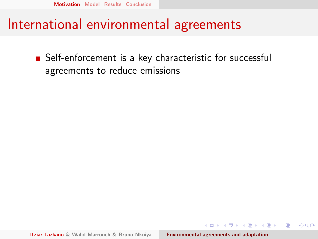#### <span id="page-1-0"></span>International environmental agreements

■ Self-enforcement is a key characteristic for successful agreements to reduce emissions

メタトメ ミトメ ミト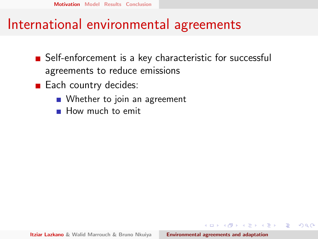#### International environmental agreements

- Self-enforcement is a key characteristic for successful agreements to reduce emissions
- $\blacksquare$  Each country decides:
	- Whether to join an agreement
	- How much to emit

メラト メミト メミト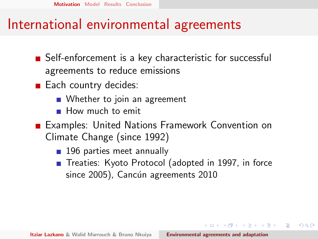#### International environmental agreements

- Self-enforcement is a key characteristic for successful agreements to reduce emissions
- $\blacksquare$  Each country decides:
	- Whether to join an agreement
	- How much to emit
- Examples: United Nations Framework Convention on Climate Change (since 1992)
	- 196 parties meet annually
	- Treaties: Kyoto Protocol (adopted in 1997, in force since 2005), Cancún agreements 2010

メタトメ ミトメ ミト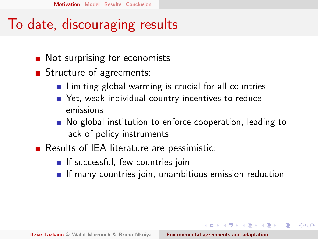## To date, discouraging results

- Not surprising for economists
- Structure of agreements:
	- **EXT** Limiting global warming is crucial for all countries
	- Yet, weak individual country incentives to reduce emissions
	- No global institution to enforce cooperation, leading to lack of policy instruments
- $\blacksquare$  Results of IEA literature are pessimistic:
	- $\blacksquare$  If successful, few countries join
	- $\blacksquare$  If many countries join, unambitious emission reduction

 $\mathcal{A} \left( \overline{m} \right) \times \mathcal{A} \left( \overline{m} \right) \times \mathcal{A} \left( \overline{m} \right) \times$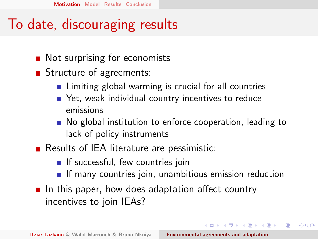## To date, discouraging results

- Not surprising for economists
- Structure of agreements:
	- **EXT** Limiting global warming is crucial for all countries
	- Yet, weak individual country incentives to reduce emissions
	- No global institution to enforce cooperation, leading to lack of policy instruments
- $\blacksquare$  Results of IEA literature are pessimistic:
	- $\blacksquare$  If successful, few countries join
	- $\blacksquare$  If many countries join, unambitious emission reduction

イロト イ押ト イチト イチト

へのへ

In this paper, how does adaptation affect country incentives to join IEAs?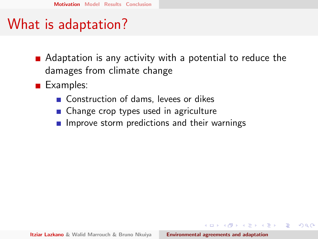## What is adaptation?

- Adaptation is any activity with a potential to reduce the damages from climate change
- **■** Examples:
	- Construction of dams, levees or dikes
	- Change crop types used in agriculture
	- $\blacksquare$  Improve storm predictions and their warnings

マーター マーティング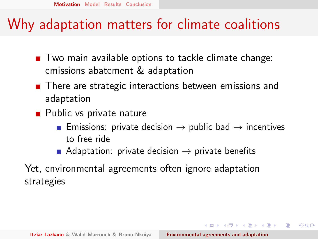### Why adaptation matters for climate coalitions

- $\blacksquare$  Two main available options to tackle climate change: emissions abatement & adaptation
- There are strategic interactions between emissions and adaptation
- $\blacksquare$  Public vs private nature
	- **Emissions: private decision**  $\rightarrow$  **public bad**  $\rightarrow$  **incentives** to free ride
	- Adaptation: private decision  $\rightarrow$  private benefits

Yet, environmental agreements often ignore adaptation strategies

 $(0,1)$   $(0,1)$   $(0,1)$   $(1,1)$   $(1,1)$   $(1,1)$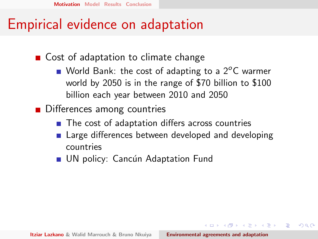#### Empirical evidence on adaptation

■ Cost of adaptation to climate change

- World Bank: the cost of adapting to a  $2^{\circ}$ C warmer world by 2050 is in the range of \$70 billion to \$100 billion each year between 2010 and 2050
- **■** Differences among countries
	- The cost of adaptation differs across countries
	- **E** Large differences between developed and developing countries
	- UN policy: Cancún Adaptation Fund

 $(0,1)$   $(0,1)$   $(0,1)$   $(1,1)$   $(1,1)$   $(1,1)$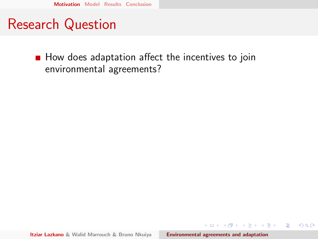### Research Question

 $\blacksquare$  How does adaptation affect the incentives to join environmental agreements?

イロメ イ部メ イヨメ イヨメー

 $\equiv$ 

 $298$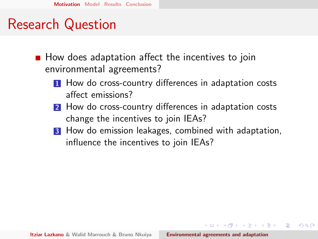#### Research Question

- $\blacksquare$  How does adaptation affect the incentives to join environmental agreements?
	- **1** How do cross-country differences in adaptation costs affect emissions?
	- 2 How do cross-country differences in adaptation costs change the incentives to join IEAs?
	- **3** How do emission leakages, combined with adaptation, influence the incentives to join IEAs?

 $(0,1)$   $(0,1)$   $(0,1)$   $(1,1)$   $(1,1)$   $(1,1)$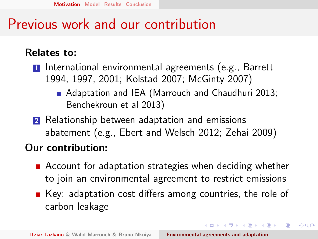### Previous work and our contribution

#### Relates to:

**1** International environmental agreements (e.g., Barrett 1994, 1997, 2001; Kolstad 2007; McGinty 2007)

- Adaptation and IEA (Marrouch and Chaudhuri 2013; Benchekroun et al 2013)
- **2** Relationship between adaptation and emissions abatement (e.g., Ebert and Welsch 2012; Zehai 2009)

#### Our contribution:

- Account for adaptation strategies when deciding whether to join an environmental agreement to restrict emissions
- $\blacksquare$  Key: adaptation cost differs among countries, the role of carbon leakage

 $(0,1)$   $(0,1)$   $(0,1)$   $(1,1)$   $(1,1)$   $(1,1)$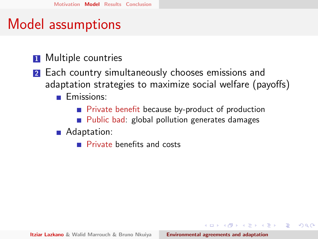## <span id="page-12-0"></span>Model assumptions

- **1** Multiple countries
- **2** Each country simultaneously chooses emissions and adaptation strategies to maximize social welfare (payoffs)
	- **Emissions:** 
		- **Private benefit because by-product of production**
		- **Public bad: global pollution generates damages**

#### **Adaptation:**

**Private benefits and costs** 

マーティ ミューエム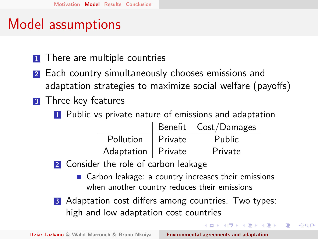## Model assumptions

- **1** There are multiple countries
- **2** Each country simultaneously chooses emissions and adaptation strategies to maximize social welfare (payoffs)
- **3** Three key features
	- **1** Public vs private nature of emissions and adaptation

|                      | Benefit Cost/Damages |
|----------------------|----------------------|
| Pollution   Private  | Public               |
| Adaptation   Private | Private              |

- 2 Consider the role of carbon leakage
	- Carbon leakage: a country increases their emissions when another country reduces their emissions

イロメ イ押 トラ ミトラ ミント

へのへ

**3** Adaptation cost differs among countries. Two types: high and low adaptation cost countries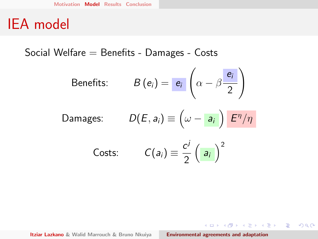Social Welfare = Benefits - Damages - Costs

Benefits: 
$$
B(e_i) = \frac{e_i}{\alpha} \left( \alpha - \beta \frac{e_i}{2} \right)
$$

$$
\text{Damages:} \qquad D(E, a_i) \equiv \left(\omega - a_i\right) E^{\eta}/\eta
$$

Costs: 
$$
C(a_i) \equiv \frac{c^j}{2} \left( \frac{a_i}{a_i} \right)^2
$$

 $\mathcal{A} \subseteq \mathcal{A} \rightarrow \mathcal{A} \oplus \mathcal{B} \rightarrow \mathcal{A} \oplus \mathcal{B} \rightarrow \mathcal{A} \oplus \mathcal{B} \rightarrow \mathcal{A}$ 

 $\equiv$ 

 $QQ$ 

Itziar Lazkano & Walid Marrouch & Bruno Nkuiya **[Environmental agreements and adaptation](#page-0-0)**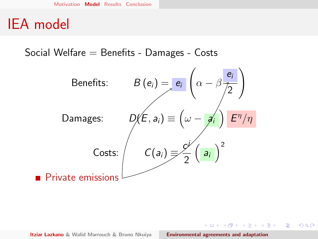Social Welfare  $=$  Benefits - Damages - Costs



**ALC: N** 

へのへ

 $4.17 \times$ 

 $\mathcal{A} \cap \mathcal{B} \longrightarrow \mathcal{A} \subset \mathcal{B} \longrightarrow$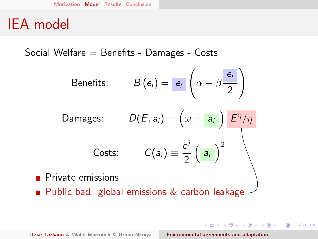Social Welfare  $=$  Benefits - Damages - Costs

Benefits: 
$$
B(e_i) = e_i \left( \alpha - \beta \frac{e_i}{2} \right)
$$

Damages:

\n
$$
D(E, a_i) \equiv \left(\omega - a_i\right) \frac{E^{\eta}/\eta}{E^{\eta}/\eta}
$$
\nCosts:

\n
$$
C(a_i) \equiv \frac{c^j}{2} \left(a_i\right)^2
$$

**Private emissions Public bad: global emissions & carbon leakage** 

**Itziar Lazkano & Walid Marrouch & Bruno Nkuiya [Environmental agreements and adaptation](#page-0-0)** 

イロメ イ母メ イヨメ イヨメー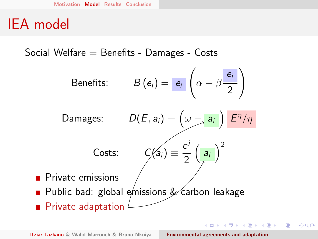Social Welfare  $=$  Benefits - Damages - Costs

Benefits:

\n
$$
B(e_i) = \frac{e_i}{e_i} \left( \alpha - \beta \frac{e_i}{2} \right)
$$
\nDamages:

\n
$$
D(E, a_i) \equiv \left( \omega - \frac{a_i}{2} \right) \frac{E^{\eta} / \eta}{E^{\eta} / \eta}
$$
\nCosts:

\n
$$
C(a_i) \equiv \frac{c^j}{2} \left( \frac{a_i}{2} \right)^2
$$
\nPrivate emissions

\nPublic bad: global emissions & carbon leakage

 $\blacksquare$  Private adaptation

**Itziar Lazkano & Walid Marrouch & Bruno Nkuiya [Environmental agreements and adaptation](#page-0-0)** 

イロト イ団 トイ ミト イヨト

 $2Q$ 

扂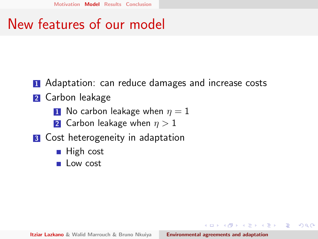### New features of our model

- **1** Adaptation: can reduce damages and increase costs
- **2** Carbon leakage
	- **1** No carbon leakage when  $n = 1$
	- 2 Carbon leakage when  $\eta > 1$
- **3** Cost heterogeneity in adaptation
	- $\blacksquare$  High cost
	- Low cost

**Itziar Lazkano & Walid Marrouch & Bruno Nkuiya [Environmental agreements and adaptation](#page-0-0)** 

マーター マーティング

へのへ

**ALCOHOL:**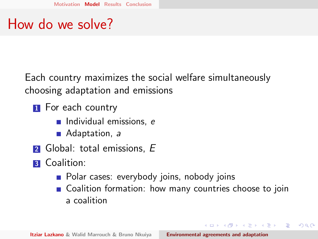### How do we solve?

Each country maximizes the social welfare simultaneously choosing adaptation and emissions

- **1** For each country
	- $\blacksquare$  Individual emissions, e
	- Adaptation, a
- $\blacksquare$  Global: total emissions,  $E$
- **3** Coalition:
	- **Polar cases: everybody joins, nobody joins**
	- Coalition formation: how many countries choose to join a coalition

イロメ イタメ イチメ イチメー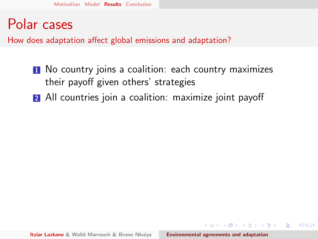#### <span id="page-20-0"></span>Polar cases

How does adaptation affect global emissions and adaptation?

- **1** No country joins a coalition: each country maximizes their payoff given others' strategies
- 2 All countries join a coalition: maximize joint payoff

 $(0,1)$   $(0,1)$   $(0,1)$   $(1,1)$   $(1,1)$   $(1,1)$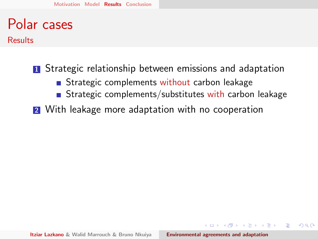## Polar cases

**Results** 

**1** Strategic relationship between emissions and adaptation

- Strategic complements without carbon leakage
- Strategic complements/substitutes with carbon leakage
- **2** With leakage more adaptation with no cooperation

 $A \oplus B$  and  $A \oplus B$  and  $A \oplus B$  and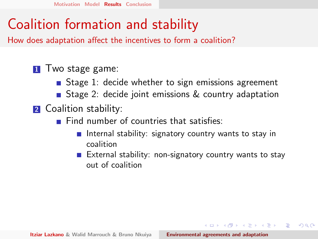## Coalition formation and stability

How does adaptation affect the incentives to form a coalition?

#### **1** Two stage game:

- Stage 1: decide whether to sign emissions agreement
- Stage 2: decide joint emissions & country adaptation
- **2** Coalition stability:
	- Find number of countries that satisfies:
		- Internal stability: signatory country wants to stay in coalition
		- External stability: non-signatory country wants to stay out of coalition

 $(0,1)$   $(0,1)$   $(0,1)$   $(1,1)$   $(1,1)$   $(1,1)$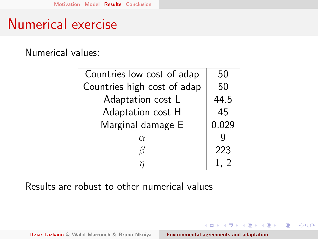### Numerical exercise

Numerical values:

| Countries low cost of adap  | 50    |
|-----------------------------|-------|
| Countries high cost of adap | 50    |
| Adaptation cost L           | 44.5  |
| Adaptation cost H           | 45    |
| Marginal damage E           | 0.029 |
| $\alpha$                    |       |
|                             | 223   |
|                             |       |

Results are robust to other numerical values

**◆ロ→ ◆***団***→ ◆ミ→ → ミ**→

 $\equiv$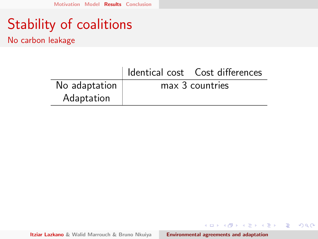No carbon leakage

| No adaptation | max 3 countries |  |
|---------------|-----------------|--|
| Adaptation    |                 |  |

Itziar Lazkano & Walid Marrouch & Bruno Nkuiya **[Environmental agreements and adaptation](#page-0-0)** 

イロメ イ部メ イヨメ イヨメー

 $\equiv$ 

 $298$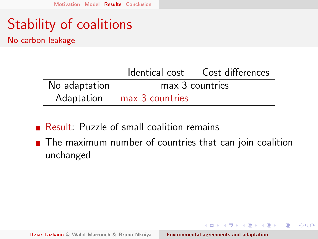No carbon leakage

|               |                              | Identical cost Cost differences |
|---------------|------------------------------|---------------------------------|
| No adaptation |                              | max 3 countries                 |
|               | Adaptation   max 3 countries |                                 |

Result: Puzzle of small coalition remains

■ The maximum number of countries that can join coalition unchanged

イロト イ団 トイ ミト イヨト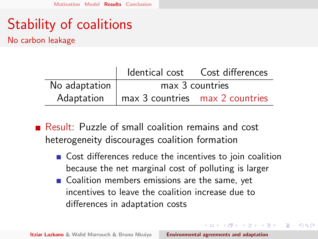No carbon leakage

|               |                                                        | Identical cost Cost differences |
|---------------|--------------------------------------------------------|---------------------------------|
| No adaptation |                                                        | max 3 countries                 |
|               | Adaptation $\parallel$ max 3 countries max 2 countries |                                 |

Result: Puzzle of small coalition remains and cost heterogeneity discourages coalition formation

Gost differences reduce the incentives to join coalition because the net marginal cost of polluting is larger

 $(0,1)$   $(0,1)$   $(0,1)$   $(1,1)$   $(1,1)$   $(1,1)$ 

へのへ

■ Coalition members emissions are the same, yet incentives to leave the coalition increase due to differences in adaptation costs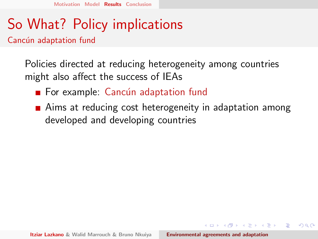# So What? Policy implications

Cancún adaptation fund

Policies directed at reducing heterogeneity among countries might also affect the success of IEAs

- $\blacksquare$  For example: Cancún adaptation fund
- **Aims at reducing cost heterogeneity in adaptation among** developed and developing countries

マーター マーティング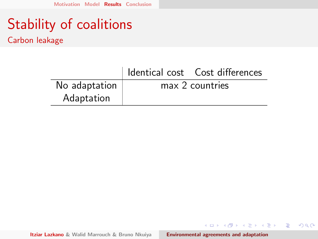Carbon leakage

|               | I Identical cost Cost differences |
|---------------|-----------------------------------|
| No adaptation | max 2 countries                   |
| Adaptation    |                                   |

Itziar Lazkano & Walid Marrouch & Bruno Nkuiya **[Environmental agreements and adaptation](#page-0-0)** 

イロメ イ部メ イヨメ イヨメー

重

 $298$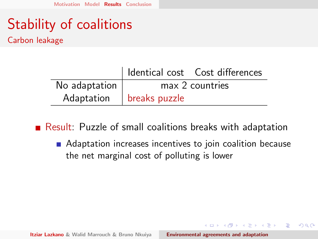Carbon leakage

|               | Identical cost    Cost differences |
|---------------|------------------------------------|
| No adaptation | max 2 countries                    |
|               | Adaptation   breaks puzzle         |

Result: Puzzle of small coalitions breaks with adaptation

■ Adaptation increases incentives to join coalition because the net marginal cost of polluting is lower

a mills

 $\overline{A}$   $\overline{B}$   $\rightarrow$   $\overline{A}$   $\overline{B}$   $\rightarrow$   $\overline{A}$   $\overline{B}$   $\rightarrow$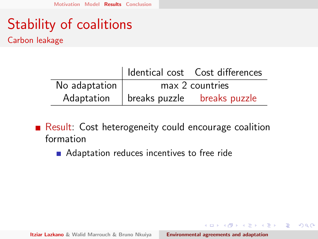Carbon leakage

|               | I Identical cost  Cost differences       |
|---------------|------------------------------------------|
| No adaptation | max 2 countries                          |
|               | Adaptation   breaks puzzle breaks puzzle |

Result: Cost heterogeneity could encourage coalition formation

■ Adaptation reduces incentives to free ride

イロメ イ部メ イヨメ イヨメー

 $\Omega$ 

重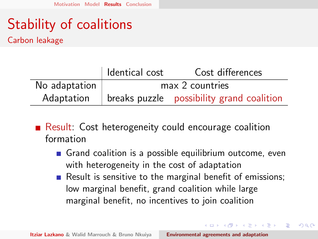Carbon leakage

|                           | dentical cost   | Cost differences                                                 |
|---------------------------|-----------------|------------------------------------------------------------------|
| No adaptation $\parallel$ | max 2 countries |                                                                  |
|                           |                 | Adaptation $\parallel$ breaks puzzle possibility grand coalition |

- Result: Cost heterogeneity could encourage coalition formation
	- Grand coalition is a possible equilibrium outcome, even with heterogeneity in the cost of adaptation
	- Result is sensitive to the marginal benefit of emissions; low marginal benefit, grand coalition while large marginal benefit, no incentives to join coalition

イロメ イ部メ イヨメ イヨメー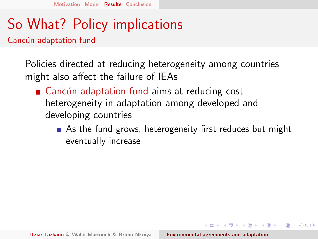# So What? Policy implications

Cancún adaptation fund

Policies directed at reducing heterogeneity among countries might also affect the failure of IEAs

- $\blacksquare$  Cancún adaptation fund aims at reducing cost heterogeneity in adaptation among developed and developing countries
	- As the fund grows, heterogeneity first reduces but might eventually increase

 $A \oplus B$  and  $A \oplus B$  and  $A \oplus B$  and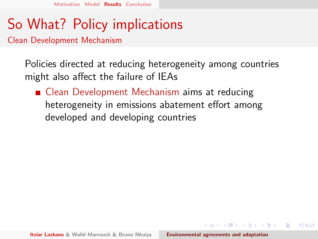## So What? Policy implications

Clean Development Mechanism

Policies directed at reducing heterogeneity among countries might also affect the failure of IEAs

■ Clean Development Mechanism aims at reducing heterogeneity in emissions abatement effort among developed and developing countries

マーター マーティング